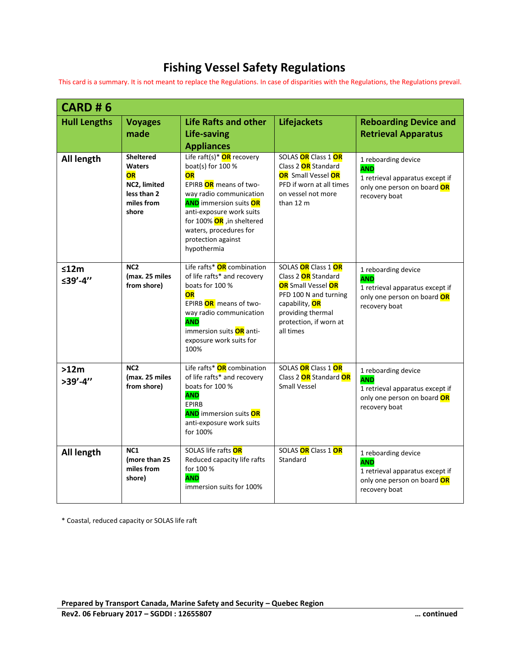## **Fishing Vessel Safety Regulations**

This card is a summary. It is not meant to replace the Regulations. In case of disparities with the Regulations, the Regulations prevail.

| <b>CARD #6</b>       |                                                                                               |                                                                                                                                                                                                                                                                                 |                                                                                                                                                                                              |                                                                                                                      |  |  |
|----------------------|-----------------------------------------------------------------------------------------------|---------------------------------------------------------------------------------------------------------------------------------------------------------------------------------------------------------------------------------------------------------------------------------|----------------------------------------------------------------------------------------------------------------------------------------------------------------------------------------------|----------------------------------------------------------------------------------------------------------------------|--|--|
| <b>Hull Lengths</b>  | <b>Voyages</b><br>made                                                                        | <b>Life Rafts and other</b><br><b>Life-saving</b><br><b>Appliances</b>                                                                                                                                                                                                          | <b>Lifejackets</b>                                                                                                                                                                           | <b>Reboarding Device and</b><br><b>Retrieval Apparatus</b>                                                           |  |  |
| All length           | <b>Sheltered</b><br><b>Waters</b><br>OR<br>NC2, limited<br>less than 2<br>miles from<br>shore | Life raft(s) <sup>*</sup> OR recovery<br>boat(s) for 100 %<br>OR<br>EPIRB OR means of two-<br>way radio communication<br><b>AND</b> immersion suits OR<br>anti-exposure work suits<br>for 100% OR , in sheltered<br>waters, procedures for<br>protection against<br>hypothermia | SOLAS OR Class 1 OR<br>Class 2 OR Standard<br><b>OR</b> Small Vessel OR<br>PFD if worn at all times<br>on vessel not more<br>than $12 \text{ m}$                                             | 1 reboarding device<br><b>AND</b><br>1 retrieval apparatus except if<br>only one person on board OR<br>recovery boat |  |  |
| $≤12m$<br>≤39'-4"    | NC <sub>2</sub><br>(max. 25 miles<br>from shore)                                              | Life rafts* OR combination<br>of life rafts* and recovery<br>boats for 100 %<br>OR<br>EPIRB OR means of two-<br>way radio communication<br><b>AND</b><br>immersion suits <b>OR</b> anti-<br>exposure work suits for<br>100%                                                     | SOLAS OR Class 1 OR<br>Class 2 OR Standard<br><b>OR</b> Small Vessel <b>OR</b><br>PFD 100 N and turning<br>capability, <b>OR</b><br>providing thermal<br>protection, if worn at<br>all times | 1 reboarding device<br><b>AND</b><br>1 retrieval apparatus except if<br>only one person on board OR<br>recovery boat |  |  |
| >12m<br>$>39' - 4''$ | NC <sub>2</sub><br>(max. 25 miles<br>from shore)                                              | Life rafts* OR combination<br>of life rafts* and recovery<br>boats for 100 %<br><b>AND</b><br>EPIRB<br><b>AND</b> immersion suits OR<br>anti-exposure work suits<br>for 100%                                                                                                    | SOLAS OR Class 1 OR<br>Class 2 OR Standard OR<br><b>Small Vessel</b>                                                                                                                         | 1 reboarding device<br><b>AND</b><br>1 retrieval apparatus except if<br>only one person on board OR<br>recovery boat |  |  |
| All length           | NC <sub>1</sub><br>Imore than 25<br>miles from<br>shore)                                      | SOLAS life rafts OR<br>Reduced capacity life rafts<br>for 100 %<br><b>AND</b><br>immersion suits for 100%                                                                                                                                                                       | SOLAS OR Class 1 OR<br>Standard                                                                                                                                                              | 1 reboarding device<br><b>AND</b><br>1 retrieval apparatus except if<br>only one person on board OR<br>recovery boat |  |  |

\* Coastal, reduced capacity or SOLAS life raft